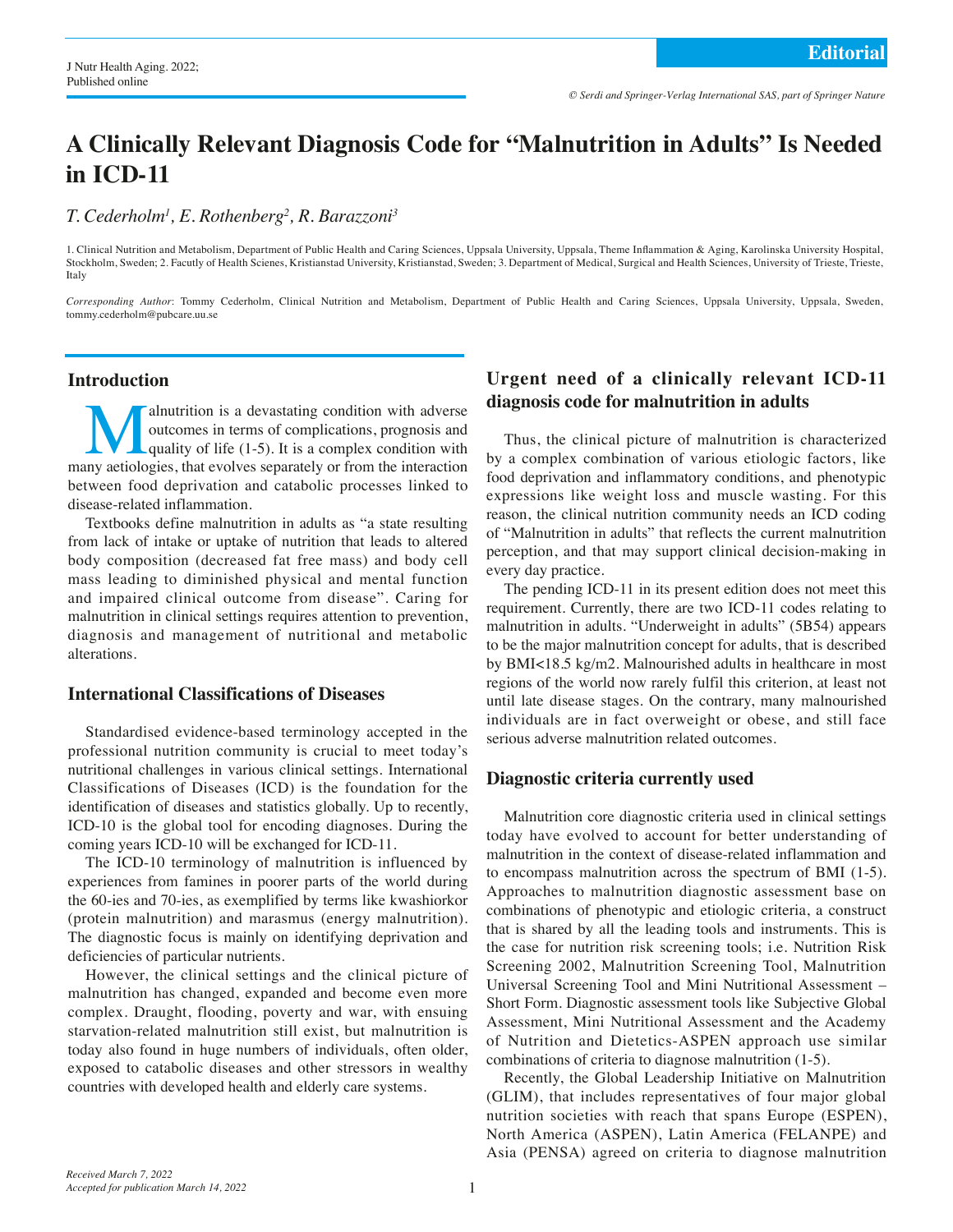# **A Clinically Relevant Diagnosis Code for "Malnutrition in Adults" Is Needed in ICD-11**

*T. Cederholm1 , E. Rothenberg2 , R. Barazzoni3*

1. Clinical Nutrition and Metabolism, Department of Public Health and Caring Sciences, Uppsala University, Uppsala, Theme Infammation & Aging, Karolinska University Hospital, Stockholm, Sweden; 2. Facutly of Health Scienes, Kristianstad University, Kristianstad, Sweden; 3. Department of Medical, Surgical and Health Sciences, University of Trieste, Trieste, Italy

*Corresponding Author*: Tommy Cederholm, Clinical Nutrition and Metabolism, Department of Public Health and Caring Sciences, Uppsala University, Uppsala, Sweden, tommy.cederholm@pubcare.uu.se

## **Introduction**

**Malnutrition is a devastating condition with adverse** outcomes in terms of complications, prognosis and quality of life (1-5). It is a complex condition with now aetiologies, that evolves separately or from the interactio outcomes in terms of complications, prognosis and quality of life (1-5). It is a complex condition with many aetiologies, that evolves separately or from the interaction between food deprivation and catabolic processes linked to disease-related inflammation.

Textbooks define malnutrition in adults as "a state resulting from lack of intake or uptake of nutrition that leads to altered body composition (decreased fat free mass) and body cell mass leading to diminished physical and mental function and impaired clinical outcome from disease". Caring for malnutrition in clinical settings requires attention to prevention, diagnosis and management of nutritional and metabolic alterations.

#### **International Classifications of Diseases**

Standardised evidence-based terminology accepted in the professional nutrition community is crucial to meet today's nutritional challenges in various clinical settings. International Classifications of Diseases (ICD) is the foundation for the identification of diseases and statistics globally. Up to recently, ICD-10 is the global tool for encoding diagnoses. During the coming years ICD-10 will be exchanged for ICD-11.

The ICD-10 terminology of malnutrition is influenced by experiences from famines in poorer parts of the world during the 60-ies and 70-ies, as exemplified by terms like kwashiorkor (protein malnutrition) and marasmus (energy malnutrition). The diagnostic focus is mainly on identifying deprivation and deficiencies of particular nutrients.

However, the clinical settings and the clinical picture of malnutrition has changed, expanded and become even more complex. Draught, flooding, poverty and war, with ensuing starvation-related malnutrition still exist, but malnutrition is today also found in huge numbers of individuals, often older, exposed to catabolic diseases and other stressors in wealthy countries with developed health and elderly care systems.

# **Urgent need of a clinically relevant ICD-11 diagnosis code for malnutrition in adults**

Thus, the clinical picture of malnutrition is characterized by a complex combination of various etiologic factors, like food deprivation and inflammatory conditions, and phenotypic expressions like weight loss and muscle wasting. For this reason, the clinical nutrition community needs an ICD coding of "Malnutrition in adults" that reflects the current malnutrition perception, and that may support clinical decision-making in every day practice.

The pending ICD-11 in its present edition does not meet this requirement. Currently, there are two ICD-11 codes relating to malnutrition in adults. "Underweight in adults" (5B54) appears to be the major malnutrition concept for adults, that is described by BMI<18.5 kg/m2. Malnourished adults in healthcare in most regions of the world now rarely fulfil this criterion, at least not until late disease stages. On the contrary, many malnourished individuals are in fact overweight or obese, and still face serious adverse malnutrition related outcomes.

#### **Diagnostic criteria currently used**

Malnutrition core diagnostic criteria used in clinical settings today have evolved to account for better understanding of malnutrition in the context of disease-related inflammation and to encompass malnutrition across the spectrum of BMI (1-5). Approaches to malnutrition diagnostic assessment base on combinations of phenotypic and etiologic criteria, a construct that is shared by all the leading tools and instruments. This is the case for nutrition risk screening tools; i.e. Nutrition Risk Screening 2002, Malnutrition Screening Tool, Malnutrition Universal Screening Tool and Mini Nutritional Assessment – Short Form. Diagnostic assessment tools like Subjective Global Assessment, Mini Nutritional Assessment and the Academy of Nutrition and Dietetics-ASPEN approach use similar combinations of criteria to diagnose malnutrition (1-5).

Recently, the Global Leadership Initiative on Malnutrition (GLIM), that includes representatives of four major global nutrition societies with reach that spans Europe (ESPEN), North America (ASPEN), Latin America (FELANPE) and Asia (PENSA) agreed on criteria to diagnose malnutrition